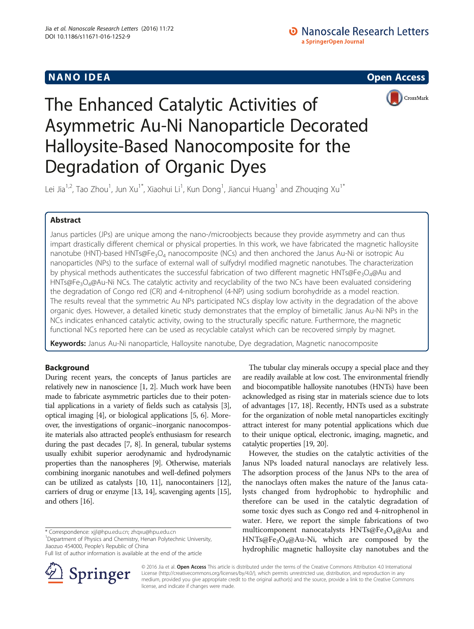## **NANO IDEA** Open Access **Contract Contract Contract Contract Contract Contract Contract Contract Contract Contract Contract Contract Contract Contract Contract Contract Contract Contract Contract Contract Contract Contract**



# The Enhanced Catalytic Activities of Asymmetric Au-Ni Nanoparticle Decorated Halloysite-Based Nanocomposite for the Degradation of Organic Dyes

Lei Jia<sup>1,2</sup>, Tao Zhou<sup>1</sup>, Jun Xu<sup>1\*</sup>, Xiaohui Li<sup>1</sup>, Kun Dong<sup>1</sup>, Jiancui Huang<sup>1</sup> and Zhouqing Xu<sup>1\*</sup>

## Abstract

Janus particles (JPs) are unique among the nano-/microobjects because they provide asymmetry and can thus impart drastically different chemical or physical properties. In this work, we have fabricated the magnetic halloysite nanotube (HNT)-based HNTs@Fe<sub>3</sub>O<sub>4</sub> nanocomposite (NCs) and then anchored the Janus Au-Ni or isotropic Au nanoparticles (NPs) to the surface of external wall of sulfydryl modified magnetic nanotubes. The characterization by physical methods authenticates the successful fabrication of two different magnetic HNTs@Fe<sub>3</sub>O<sub>4</sub>@Au and HNTs@Fe<sub>3</sub>O<sub>4</sub>@Au-Ni NCs. The catalytic activity and recyclability of the two NCs have been evaluated considering the degradation of Congo red (CR) and 4-nitrophenol (4-NP) using sodium borohydride as a model reaction. The results reveal that the symmetric Au NPs participated NCs display low activity in the degradation of the above organic dyes. However, a detailed kinetic study demonstrates that the employ of bimetallic Janus Au-Ni NPs in the NCs indicates enhanced catalytic activity, owing to the structurally specific nature. Furthermore, the magnetic functional NCs reported here can be used as recyclable catalyst which can be recovered simply by magnet.

Keywords: Janus Au-Ni nanoparticle, Halloysite nanotube, Dye degradation, Magnetic nanocomposite

## Background

During recent years, the concepts of Janus particles are relatively new in nanoscience [[1](#page-5-0), [2](#page-5-0)]. Much work have been made to fabricate asymmetric particles due to their potential applications in a variety of fields such as catalysis [[3](#page-5-0)], optical imaging [[4\]](#page-5-0), or biological applications [\[5, 6\]](#page-5-0). Moreover, the investigations of organic–inorganic nanocomposite materials also attracted people's enthusiasm for research during the past decades [\[7,](#page-5-0) [8\]](#page--1-0). In general, tubular systems usually exhibit superior aerodynamic and hydrodynamic properties than the nanospheres [[9](#page--1-0)]. Otherwise, materials combining inorganic nanotubes and well-defined polymers can be utilized as catalysts [[10](#page--1-0), [11](#page--1-0)], nanocontainers [\[12](#page--1-0)], carriers of drug or enzyme [\[13](#page--1-0), [14\]](#page--1-0), scavenging agents [\[15](#page--1-0)], and others [[16](#page--1-0)].

\* Correspondence: [xjjl@hpu.edu.cn](mailto:xjjl@hpu.edu.cn); [zhqxu@hpu.edu.cn](mailto:zhqxu@hpu.edu.cn) <sup>1</sup>

<sup>1</sup>Department of Physics and Chemistry, Henan Polytechnic University, Jiaozuo 454000, People's Republic of China

Full list of author information is available at the end of the article



The tubular clay minerals occupy a special place and they are readily available at low cost. The environmental friendly and biocompatible halloysite nanotubes (HNTs) have been acknowledged as rising star in materials science due to lots of advantages [\[17, 18\]](#page--1-0). Recently, HNTs used as a substrate for the organization of noble metal nanoparticles excitingly attract interest for many potential applications which due to their unique optical, electronic, imaging, magnetic, and catalytic properties [\[19](#page--1-0), [20\]](#page--1-0).

However, the studies on the catalytic activities of the Janus NPs loaded natural nanoclays are relatively less. The adsorption process of the Janus NPs to the area of the nanoclays often makes the nature of the Janus catalysts changed from hydrophobic to hydrophilic and therefore can be used in the catalytic degradation of some toxic dyes such as Congo red and 4-nitrophenol in water. Here, we report the simple fabrications of two multicomponent nanocatalysts  $HNTs@Fe_3O_4@Au$  and HNTs@Fe3O4@Au-Ni, which are composed by the hydrophilic magnetic halloysite clay nanotubes and the

© 2016 Jia et al. Open Access This article is distributed under the terms of the Creative Commons Attribution 4.0 International License [\(http://creativecommons.org/licenses/by/4.0/](http://creativecommons.org/licenses/by/4.0/)), which permits unrestricted use, distribution, and reproduction in any medium, provided you give appropriate credit to the original author(s) and the source, provide a link to the Creative Commons license, and indicate if changes were made.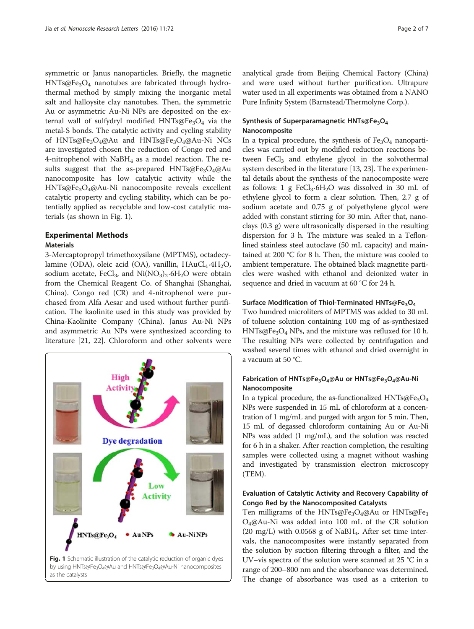symmetric or Janus nanoparticles. Briefly, the magnetic  $HNTs@Fe<sub>3</sub>O<sub>4</sub>$  nanotubes are fabricated through hydrothermal method by simply mixing the inorganic metal salt and halloysite clay nanotubes. Then, the symmetric Au or asymmetric Au-Ni NPs are deposited on the external wall of sulfydryl modified  $HNTs@Fe<sub>3</sub>O<sub>4</sub>$  via the metal-S bonds. The catalytic activity and cycling stability of  $HNTs@Fe<sub>3</sub>O<sub>4</sub>@Au$  and  $HNTs@Fe<sub>3</sub>O<sub>4</sub>@Au-Ni NCs$ are investigated chosen the reduction of Congo red and 4-nitrophenol with  $N$ a $BH$ <sub>4</sub> as a model reaction. The results suggest that the as-prepared HNTs@Fe<sub>3</sub>O<sub>4</sub>@Au nanocomposite has low catalytic activity while the HNTs@Fe<sub>3</sub>O<sub>4</sub>@Au-Ni nanocomposite reveals excellent catalytic property and cycling stability, which can be potentially applied as recyclable and low-cost catalytic materials (as shown in Fig. 1).

#### Experimental Methods Materials

3-Mercaptopropyl trimethoxysilane (MPTMS), octadecylamine (ODA), oleic acid (OA), vanillin, HAuCl<sub>4</sub>⋅4H<sub>2</sub>O, sodium acetate, FeCl<sub>3</sub>, and Ni(NO<sub>3</sub>)<sub>2</sub>⋅6H<sub>2</sub>O were obtain from the Chemical Reagent Co. of Shanghai (Shanghai, China). Congo red (CR) and 4-nitrophenol were purchased from Alfa Aesar and used without further purification. The kaolinite used in this study was provided by China-Kaolinite Company (China). Janus Au-Ni NPs and asymmetric Au NPs were synthesized according to literature [\[21](#page--1-0), [22](#page--1-0)]. Chloroform and other solvents were



by using HNTs@Fe<sub>3</sub>O<sub>4</sub>@Au and HNTs@Fe<sub>3</sub>O<sub>4</sub>@Au-Ni nanocomposites as the catalysts

analytical grade from Beijing Chemical Factory (China) and were used without further purification. Ultrapure water used in all experiments was obtained from a NANO Pure Infinity System (Barnstead/Thermolyne Corp.).

## Synthesis of Superparamagnetic HNTs@Fe<sub>3</sub>O<sub>4</sub> Nanocomposite

In a typical procedure, the synthesis of  $Fe<sub>3</sub>O<sub>4</sub>$  nanoparticles was carried out by modified reduction reactions between  $FeCl<sub>3</sub>$  and ethylene glycol in the solvothermal system described in the literature [[13](#page--1-0), [23\]](#page--1-0). The experimental details about the synthesis of the nanocomposite were as follows: 1 g FeCl<sub>3</sub>⋅6H<sub>2</sub>O was dissolved in 30 mL of ethylene glycol to form a clear solution. Then, 2.7 g of sodium acetate and 0.75 g of polyethylene glycol were added with constant stirring for 30 min. After that, nanoclays (0.3 g) were ultrasonically dispersed in the resulting dispersion for 3 h. The mixture was sealed in a Teflonlined stainless steel autoclave (50 mL capacity) and maintained at 200 °C for 8 h. Then, the mixture was cooled to ambient temperature. The obtained black magnetite particles were washed with ethanol and deionized water in sequence and dried in vacuum at 60 °C for 24 h.

#### Surface Modification of Thiol-Terminated HNTs@Fe<sub>3</sub>O<sub>4</sub>

Two hundred microliters of MPTMS was added to 30 mL of toluene solution containing 100 mg of as-synthesized  $HNTs@Fe<sub>3</sub>O<sub>4</sub> NPs$ , and the mixture was refluxed for 10 h. The resulting NPs were collected by centrifugation and washed several times with ethanol and dried overnight in a vacuum at 50 °C.

## Fabrication of HNTs@Fe<sub>3</sub>O<sub>4</sub>@Au or HNTs@Fe<sub>3</sub>O<sub>4</sub>@Au-Ni Nanocomposite

In a typical procedure, the as-functionalized  $HNTs@Fe<sub>3</sub>O<sub>4</sub>$ NPs were suspended in 15 mL of chloroform at a concentration of 1 mg/mL and purged with argon for 5 min. Then, 15 mL of degassed chloroform containing Au or Au-Ni NPs was added (1 mg/mL), and the solution was reacted for 6 h in a shaker. After reaction completion, the resulting samples were collected using a magnet without washing and investigated by transmission electron microscopy (TEM).

## Evaluation of Catalytic Activity and Recovery Capability of Congo Red by the Nanocomposited Catalysts

Ten milligrams of the HNTs@Fe<sub>3</sub>O<sub>4</sub>@Au or HNTs@Fe<sub>3</sub>  $O_4@Au$ -Ni was added into 100 mL of the CR solution (20 mg/L) with 0.0568 g of NaBH<sub>4</sub>. After set time intervals, the nanocomposites were instantly separated from the solution by suction filtering through a filter, and the UV–vis spectra of the solution were scanned at 25 °C in a range of 200–800 nm and the absorbance was determined. The change of absorbance was used as a criterion to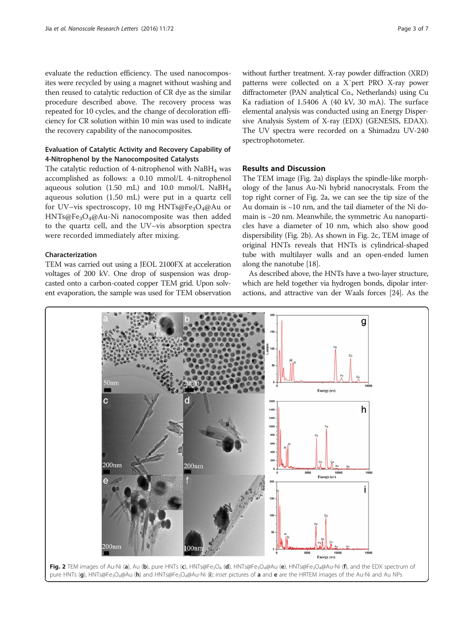<span id="page-2-0"></span>evaluate the reduction efficiency. The used nanocomposites were recycled by using a magnet without washing and then reused to catalytic reduction of CR dye as the similar procedure described above. The recovery process was repeated for 10 cycles, and the change of decoloration efficiency for CR solution within 10 min was used to indicate the recovery capability of the nanocomposites.

## Evaluation of Catalytic Activity and Recovery Capability of 4-Nitrophenol by the Nanocomposited Catalysts

The catalytic reduction of 4-nitrophenol with  $N$ aBH<sub>4</sub> was accomplished as follows: a 0.10 mmol/L 4-nitrophenol aqueous solution (1.50 mL) and 10.0 mmol/L  $NaBH<sub>4</sub>$ aqueous solution (1.50 mL) were put in a quartz cell for UV–vis spectroscopy, 10 mg HNTs@Fe<sub>3</sub>O<sub>4</sub>@Au or HNTs@Fe3O4@Au-Ni nanocomposite was then added to the quartz cell, and the UV–vis absorption spectra were recorded immediately after mixing.

#### Characterization

TEM was carried out using a JEOL 2100FX at acceleration voltages of 200 kV. One drop of suspension was dropcasted onto a carbon-coated copper TEM grid. Upon solvent evaporation, the sample was used for TEM observation

without further treatment. X-ray powder diffraction (XRD) patterns were collected on a X′pert PRO X-ray power diffractometer (PAN analytical Co., Netherlands) using Cu Ka radiation of 1.5406 A (40 kV, 30 mA). The surface elemental analysis was conducted using an Energy Dispersive Analysis System of X-ray (EDX) (GENESIS, EDAX). The UV spectra were recorded on a Shimadzu UV-240 spectrophotometer.

#### Results and Discussion

The TEM image (Fig. 2a) displays the spindle-like morphology of the Janus Au-Ni hybrid nanocrystals. From the top right corner of Fig. 2a, we can see the tip size of the Au domain is ∼10 nm, and the tail diameter of the Ni domain is ∼20 nm. Meanwhile, the symmetric Au nanoparticles have a diameter of 10 nm, which also show good dispersibility (Fig. 2b). As shown in Fig. 2c, TEM image of original HNTs reveals that HNTs is cylindrical-shaped tube with multilayer walls and an open-ended lumen along the nanotube [[18](#page--1-0)].

As described above, the HNTs have a two-layer structure, which are held together via hydrogen bonds, dipolar interactions, and attractive van der Waals forces [\[24\]](#page--1-0). As the

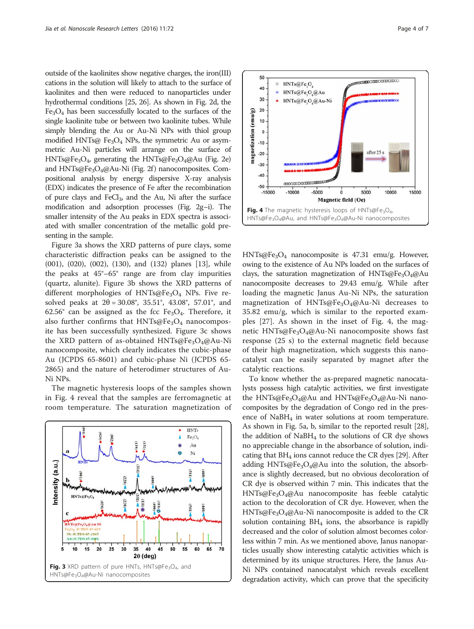outside of the kaolinites show negative charges, the iron(III) cations in the solution will likely to attach to the surface of kaolinites and then were reduced to nanoparticles under hydrothermal conditions [\[25, 26](#page--1-0)]. As shown in Fig. [2d,](#page-2-0) the  $Fe<sub>3</sub>O<sub>4</sub>$  has been successfully located to the surfaces of the single kaolinite tube or between two kaolinite tubes. While simply blending the Au or Au-Ni NPs with thiol group modified HNTs@ Fe<sub>3</sub>O<sub>4</sub> NPs, the symmetric Au or asymmetric Au-Ni particles will arrange on the surface of HNTs@Fe<sub>3</sub>O<sub>4</sub>, generating the HNTs@Fe<sub>3</sub>O<sub>4</sub>@Au (Fig. [2e](#page-2-0)) and HNTs@Fe<sub>3</sub>O<sub>4</sub>@Au-Ni (Fig. [2f](#page-2-0)) nanocomposites. Compositional analysis by energy dispersive X-ray analysis (EDX) indicates the presence of Fe after the recombination of pure clays and  $FeCl<sub>3</sub>$ , and the Au, Ni after the surface modification and adsorption processes (Fig. [2g](#page-2-0)–[i\)](#page-2-0). The smaller intensity of the Au peaks in EDX spectra is associated with smaller concentration of the metallic gold presenting in the sample.

Figure 3a shows the XRD patterns of pure clays, some characteristic diffraction peaks can be assigned to the (001), (020), (002), (130), and (132) planes [[13\]](#page--1-0), while the peaks at 45°–65° range are from clay impurities (quartz, alunite). Figure 3b shows the XRD patterns of different morphologies of  $HNTs@Fe<sub>3</sub>O<sub>4</sub>$  NPs. Five resolved peaks at  $2θ = 30.08°$ ,  $35.51°$ ,  $43.08°$ ,  $57.01°$ , and 62.56° can be assigned as the fcc  $Fe<sub>3</sub>O<sub>4</sub>$ . Therefore, it also further confirms that  $HNTs@Fe<sub>3</sub>O<sub>4</sub>$  nanocomposite has been successfully synthesized. Figure 3c shows the XRD pattern of as-obtained  $HNTs@Fe<sub>3</sub>O<sub>4</sub>@Au-Ni$ nanocomposite, which clearly indicates the cubic-phase Au (JCPDS 65-8601) and cubic-phase Ni (JCPDS 65- 2865) and the nature of heterodimer structures of Au-Ni NPs.

The magnetic hysteresis loops of the samples shown in Fig. 4 reveal that the samples are ferromagnetic at room temperature. The saturation magnetization of





 $HNTs@Fe<sub>3</sub>O<sub>4</sub>$  nanocomposite is 47.31 emu/g. However, owing to the existence of Au NPs loaded on the surfaces of clays, the saturation magnetization of  $HNTs@Fe<sub>3</sub>O<sub>4</sub>@Au$ nanocomposite decreases to 29.43 emu/g. While after loading the magnetic Janus Au-Ni NPs, the saturation magnetization of HNTs@Fe<sub>3</sub>O<sub>4</sub>@Au-Ni decreases to 35.82 emu/g, which is similar to the reported examples [\[27](#page--1-0)]. As shown in the inset of Fig. 4, the magnetic HNTs@Fe<sub>3</sub>O<sub>4</sub>@Au-Ni nanocomposite shows fast response (25 s) to the external magnetic field because of their high magnetization, which suggests this nanocatalyst can be easily separated by magnet after the catalytic reactions.

To know whether the as-prepared magnetic nanocatalysts possess high catalytic activities, we first investigate the HNTs@Fe<sub>3</sub>O<sub>4</sub>@Au and HNTs@Fe<sub>3</sub>O<sub>4</sub>@Au-Ni nanocomposites by the degradation of Congo red in the presence of NaBH<sub>4</sub> in water solutions at room temperature. As shown in Fig. [5a](#page-4-0), [b](#page-4-0), similar to the reported result [[28](#page--1-0)], the addition of  $NaBH<sub>4</sub>$  to the solutions of CR dye shows no appreciable change in the absorbance of solution, indicating that  $BH<sub>4</sub>$  ions cannot reduce the CR dyes [[29](#page--1-0)]. After adding  $HNTs@Fe<sub>3</sub>O<sub>4</sub>@Au$  into the solution, the absorbance is slightly decreased, but no obvious decoloration of CR dye is observed within 7 min. This indicates that the HNTs@Fe3O4@Au nanocomposite has feeble catalytic action to the decoloration of CR dye. However, when the  $HNTs@Fe<sub>3</sub>O<sub>4</sub>@Au-Ni$  nanocomposite is added to the CR solution containing  $BH<sub>4</sub>$  ions, the absorbance is rapidly decreased and the color of solution almost becomes colorless within 7 min. As we mentioned above, Janus nanoparticles usually show interesting catalytic activities which is determined by its unique structures. Here, the Janus Au-Ni NPs contained nanocatalyst which reveals excellent degradation activity, which can prove that the specificity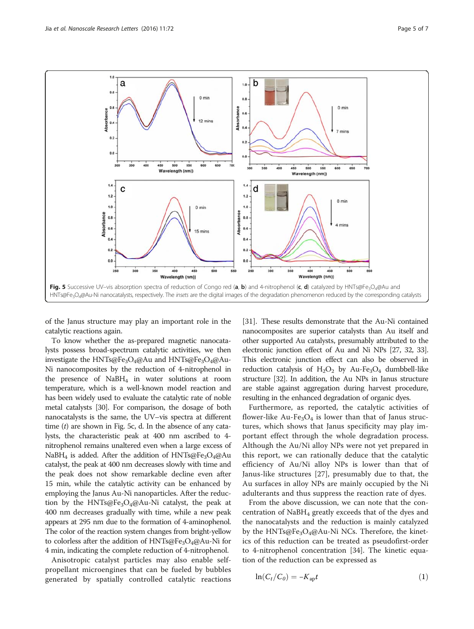<span id="page-4-0"></span>

of the Janus structure may play an important role in the catalytic reactions again.

To know whether the as-prepared magnetic nanocatalysts possess broad-spectrum catalytic activities, we then investigate the HNTs@Fe<sub>3</sub>O<sub>4</sub>@Au and HNTs@Fe<sub>3</sub>O<sub>4</sub>@Au-Ni nanocomposites by the reduction of 4-nitrophenol in the presence of  $NaBH<sub>4</sub>$  in water solutions at room temperature, which is a well-known model reaction and has been widely used to evaluate the catalytic rate of noble metal catalysts [\[30](#page--1-0)]. For comparison, the dosage of both nanocatalysts is the same, the UV–vis spectra at different time  $(t)$  are shown in Fig. 5c, d. In the absence of any catalysts, the characteristic peak at 400 nm ascribed to 4 nitrophenol remains unaltered even when a large excess of NaBH<sub>4</sub> is added. After the addition of HNTs@Fe<sub>3</sub>O<sub>4</sub>@Au catalyst, the peak at 400 nm decreases slowly with time and the peak does not show remarkable decline even after 15 min, while the catalytic activity can be enhanced by employing the Janus Au-Ni nanoparticles. After the reduction by the HNTs@Fe<sub>3</sub>O<sub>4</sub>@Au-Ni catalyst, the peak at 400 nm decreases gradually with time, while a new peak appears at 295 nm due to the formation of 4-aminophenol. The color of the reaction system changes from bright-yellow to colorless after the addition of  $HNTs@Fe<sub>3</sub>O<sub>4</sub>@Au-Ni$  for 4 min, indicating the complete reduction of 4-nitrophenol.

Anisotropic catalyst particles may also enable selfpropellant microengines that can be fueled by bubbles generated by spatially controlled catalytic reactions [[31\]](#page--1-0). These results demonstrate that the Au-Ni contained nanocomposites are superior catalysts than Au itself and other supported Au catalysts, presumably attributed to the electronic junction effect of Au and Ni NPs [[27](#page--1-0), [32, 33](#page--1-0)]. This electronic junction effect can also be observed in reduction catalysis of  $H_2O_2$  by Au-Fe<sub>3</sub>O<sub>4</sub> dumbbell-like structure [[32](#page--1-0)]. In addition, the Au NPs in Janus structure are stable against aggregation during harvest procedure, resulting in the enhanced degradation of organic dyes.

Furthermore, as reported, the catalytic activities of flower-like Au-Fe<sub>3</sub>O<sub>4</sub> is lower than that of Janus structures, which shows that Janus specificity may play important effect through the whole degradation process. Although the Au/Ni alloy NPs were not yet prepared in this report, we can rationally deduce that the catalytic efficiency of Au/Ni alloy NPs is lower than that of Janus-like structures [[27\]](#page--1-0), presumably due to that, the Au surfaces in alloy NPs are mainly occupied by the Ni adulterants and thus suppress the reaction rate of dyes.

From the above discussion, we can note that the concentration of NaBH<sub>4</sub> greatly exceeds that of the dyes and the nanocatalysts and the reduction is mainly catalyzed by the  $HNTs@Fe<sub>3</sub>O<sub>4</sub>@Au-Ni NCs. Therefore, the kinet$ ics of this reduction can be treated as pseudofirst-order to 4-nitrophenol concentration [\[34\]](#page--1-0). The kinetic equation of the reduction can be expressed as

$$
\ln(C_t/C_0) = -K_{\rm ap}t\tag{1}
$$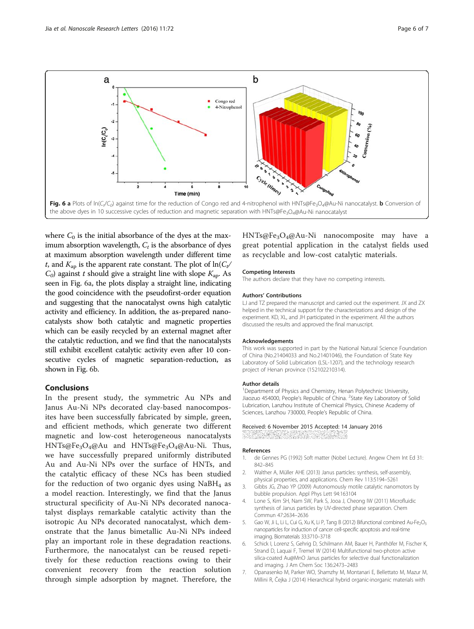<span id="page-5-0"></span>

where  $C_0$  is the initial absorbance of the dyes at the maximum absorption wavelength,  $C_t$  is the absorbance of dyes at maximum absorption wavelength under different time t, and  $K_{ap}$  is the apparent rate constant. The plot of  $ln(C_t/$  $C_0$ ) against t should give a straight line with slope  $K_{\text{an}}$ . As seen in Fig. 6a, the plots display a straight line, indicating the good coincidence with the pseudofirst-order equation and suggesting that the nanocatalyst owns high catalytic activity and efficiency. In addition, the as-prepared nanocatalysts show both catalytic and magnetic properties which can be easily recycled by an external magnet after the catalytic reduction, and we find that the nanocatalysts still exhibit excellent catalytic activity even after 10 consecutive cycles of magnetic separation-reduction, as shown in Fig. 6b.

#### Conclusions

In the present study, the symmetric Au NPs and Janus Au-Ni NPs decorated clay-based nanocomposites have been successfully fabricated by simple, green, and efficient methods, which generate two different magnetic and low-cost heterogeneous nanocatalysts  $HNTs@Fe<sub>3</sub>O<sub>4</sub>@Au$  and  $HNTs@Fe<sub>3</sub>O<sub>4</sub>@Au-Ni$ . Thus, we have successfully prepared uniformly distributed Au and Au-Ni NPs over the surface of HNTs, and the catalytic efficacy of these NCs has been studied for the reduction of two organic dyes using  $N$ aBH<sub>4</sub> as a model reaction. Interestingly, we find that the Janus structural specificity of Au-Ni NPs decorated nanocatalyst displays remarkable catalytic activity than the isotropic Au NPs decorated nanocatalyst, which demonstrate that the Janus bimetallic Au-Ni NPs indeed play an important role in these degradation reactions. Furthermore, the nanocatalyst can be reused repetitively for these reduction reactions owing to their convenient recovery from the reaction solution through simple adsorption by magnet. Therefore, the

HNTs@Fe3O4@Au-Ni nanocomposite may have a great potential application in the catalyst fields used as recyclable and low-cost catalytic materials.

#### Competing Interests

The authors declare that they have no competing interests.

#### Authors' Contributions

LJ and TZ prepared the manuscript and carried out the experiment. JX and ZX helped in the technical support for the characterizations and design of the experiment. KD, XL, and JH participated in the experiment. All the authors discussed the results and approved the final manuscript.

#### Acknowledgements

This work was supported in part by the National Natural Science Foundation of China (No.21404033 and No.21401046), the Foundation of State Key Laboratory of Solid Lubrication (LSL-1207), and the technology research project of Henan province (152102210314).

#### Author details

<sup>1</sup>Department of Physics and Chemistry, Henan Polytechnic University Jiaozuo 454000, People's Republic of China. <sup>2</sup>State Key Laboratory of Solid Lubrication, Lanzhou Institute of Chemical Physics, Chinese Academy of Sciences, Lanzhou 730000, People's Republic of China.

#### Received: 6 November 2015 Accepted: 14 January 2016

#### References

- 1. de Gennes PG (1992) Soft matter (Nobel Lecture). Angew Chem Int Ed 31: 842–845
- 2. Walther A, Müller AHE (2013) Janus particles: synthesis, self-assembly, physical properties, and applications. Chem Rev 113:5194–5261
- 3. Gibbs JG, Zhao YP (2009) Autonomously motile catalytic nanomotors by bubble propulsion. Appl Phys Lett 94:163104
- 4. Lone S, Kim SH, Nam SW, Park S, Jooa J, Cheong IW (2011) Microfluidic synthesis of Janus particles by UV-directed phase separation. Chem Commun 47:2634–2636
- 5. Gao W, Ji L, Li L, Cui G, Xu K, Li P, Tang B (2012) Bifunctional combined Au-Fe<sub>2</sub>O<sub>3</sub> nanoparticles for induction of cancer cell-specific apoptosis and real-time imaging. Biomaterials 33:3710–3718
- 6. Schick I, Lorenz S, Gehrig D, Schilmann AM, Bauer H, Panthöfer M, Fischer K, Strand D, Laquai F, Tremel W (2014) Multifunctional two-photon active silica-coated Au@MnO Janus particles for selective dual functionalization and imaging. J Am Chem Soc 136:2473–2483
- 7. Opanasenko M, Parker WO, Shamzhy M, Montanari E, Bellettato M, Mazur M, Millini R, Čejka J (2014) Hierarchical hybrid organic-inorganic materials with